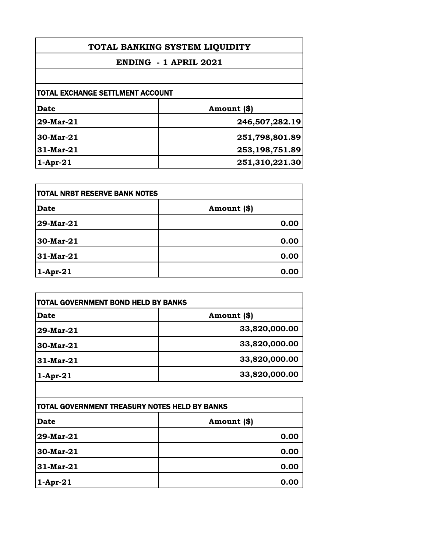| TOTAL BANKING SYSTEM LIQUIDITY<br>ENDING - 1 APRIL 2021 |                |                                  |             |
|---------------------------------------------------------|----------------|----------------------------------|-------------|
|                                                         |                | TOTAL EXCHANGE SETTLMENT ACCOUNT |             |
|                                                         |                | <b>Date</b>                      | Amount (\$) |
| 29-Mar-21                                               | 246,507,282.19 |                                  |             |
| 30-Mar-21                                               | 251,798,801.89 |                                  |             |
| $31$ -Mar- $21$                                         | 253,198,751.89 |                                  |             |
| $1-Apr-21$                                              | 251,310,221.30 |                                  |             |

| TOTAL NRBT RESERVE BANK NOTES |             |
|-------------------------------|-------------|
| <b>Date</b>                   | Amount (\$) |
| 29-Mar-21                     | 0.00        |
| 30-Mar-21                     | 0.00        |
| 31-Mar-21                     | 0.00        |
| $1-Apr-21$                    | 0.00        |

| TOTAL GOVERNMENT BOND HELD BY BANKS |               |
|-------------------------------------|---------------|
| Date                                | Amount (\$)   |
| 29-Mar-21                           | 33,820,000.00 |
| 30-Mar-21                           | 33,820,000.00 |
| 31-Mar-21                           | 33,820,000.00 |
| $1-Apr-21$                          | 33,820,000.00 |

| TOTAL GOVERNMENT TREASURY NOTES HELD BY BANKS |             |
|-----------------------------------------------|-------------|
| <b>Date</b>                                   | Amount (\$) |
| 29-Mar-21                                     | 0.00        |
| 30-Mar-21                                     | 0.00        |
| 31-Mar-21                                     | 0.00        |
| $1-Apr-21$                                    | 0.00        |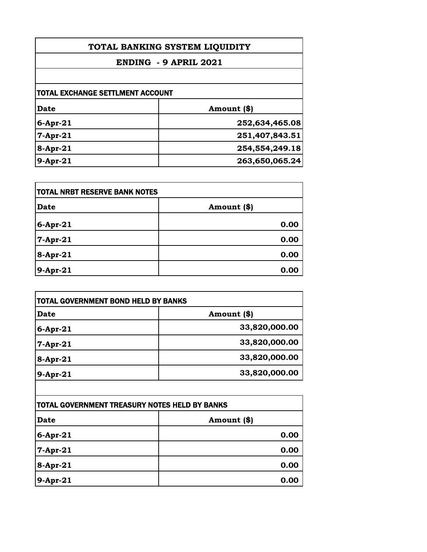| TOTAL BANKING SYSTEM LIQUIDITY<br>ENDING - 9 APRIL 2021 |                |
|---------------------------------------------------------|----------------|
|                                                         |                |
| <b>TOTAL EXCHANGE SETTLMENT ACCOUNT</b>                 |                |
| Date                                                    | Amount (\$)    |
| $6$ -Apr-21                                             | 252,634,465.08 |
| $7$ -Apr-21                                             | 251,407,843.51 |
| $8-Apr-21$                                              | 254,554,249.18 |
| $9-Apr-21$                                              | 263,650,065.24 |

| TOTAL NRBT RESERVE BANK NOTES |             |
|-------------------------------|-------------|
| <b>Date</b>                   | Amount (\$) |
| $6$ -Apr-21                   | 0.00        |
| 7-Apr-21                      | 0.00        |
| 8-Apr-21                      | 0.00        |
| 9-Apr-21                      | 0.00        |

| <b>TOTAL GOVERNMENT BOND HELD BY BANKS</b> |               |
|--------------------------------------------|---------------|
| <b>Date</b>                                | Amount (\$)   |
| $6-Apr-21$                                 | 33,820,000.00 |
| $7-Apr-21$                                 | 33,820,000.00 |
| $8 -$ Apr-21                               | 33,820,000.00 |
| 9-Apr-21                                   | 33,820,000.00 |

| TOTAL GOVERNMENT TREASURY NOTES HELD BY BANKS |             |
|-----------------------------------------------|-------------|
| <b>Date</b>                                   | Amount (\$) |
| $6$ -Apr-21                                   | 0.00        |
| 7-Apr-21                                      | 0.00        |
| 8-Apr-21                                      | 0.00        |
| 9-Apr-21                                      | 0.00        |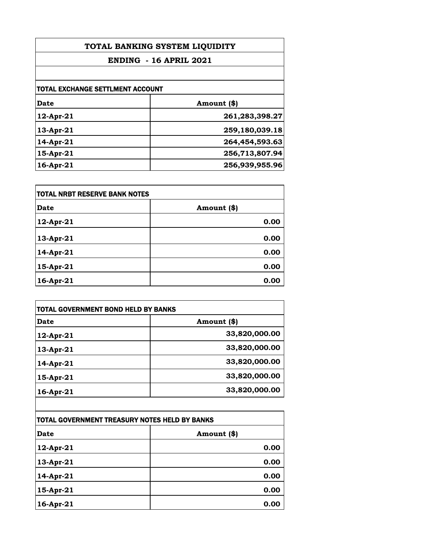| TOTAL BANKING SYSTEM LIQUIDITY<br><b>ENDING - 16 APRIL 2021</b> |                |                                  |             |
|-----------------------------------------------------------------|----------------|----------------------------------|-------------|
|                                                                 |                | TOTAL EXCHANGE SETTLMENT ACCOUNT |             |
|                                                                 |                | <b>Date</b>                      | Amount (\$) |
| 12-Apr-21                                                       | 261,283,398.27 |                                  |             |
| 13-Apr-21                                                       | 259,180,039.18 |                                  |             |
| 14-Apr-21                                                       | 264,454,593.63 |                                  |             |
| 15-Apr-21                                                       | 256,713,807.94 |                                  |             |
| 16-Apr-21                                                       | 256,939,955.96 |                                  |             |

| <b>TOTAL NRBT RESERVE BANK NOTES</b> |             |
|--------------------------------------|-------------|
| <b>Date</b>                          | Amount (\$) |
| $12$ -Apr-21                         | 0.00        |
| 13-Apr-21                            | 0.00        |
| 14-Apr-21                            | 0.00        |
| 15-Apr-21                            | 0.00        |
| 16-Apr-21                            | 0.00        |

| <b>TOTAL GOVERNMENT BOND HELD BY BANKS</b> |  |
|--------------------------------------------|--|
| Amount (\$)                                |  |
| 33,820,000.00                              |  |
| 33,820,000.00                              |  |
| 33,820,000.00                              |  |
| 33,820,000.00                              |  |
| 33,820,000.00                              |  |
|                                            |  |

| TOTAL GOVERNMENT TREASURY NOTES HELD BY BANKS |             |
|-----------------------------------------------|-------------|
| <b>Date</b>                                   | Amount (\$) |
| 12-Apr-21                                     | 0.00        |
| 13-Apr-21                                     | 0.00        |
| 14-Apr-21                                     | 0.00        |
| 15-Apr-21                                     | 0.00        |
| 16-Apr-21                                     | 0.00        |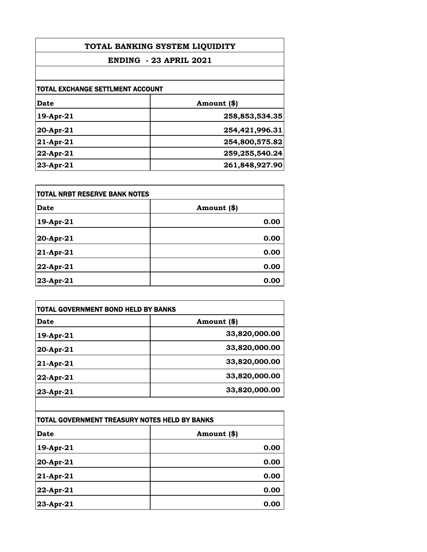| TOTAL BANKING SYSTEM LIQUIDITY<br><b>ENDING - 23 APRIL 2021</b> |                |
|-----------------------------------------------------------------|----------------|
|                                                                 |                |
| <b>TOTAL EXCHANGE SETTLMENT ACCOUNT</b>                         |                |
| Date                                                            | Amount (\$)    |
| 19-Apr-21                                                       | 258,853,534.35 |
| 20-Apr-21                                                       | 254,421,996.31 |
| $21 - Apr - 21$                                                 | 254,800,575.82 |
| 22-Apr-21                                                       | 259,255,540.24 |
| $23 - Apr - 21$                                                 | 261,848,927.90 |

| <b>TOTAL NRBT RESERVE BANK NOTES</b> |             |
|--------------------------------------|-------------|
| Date                                 | Amount (\$) |
| 19-Apr-21                            | 0.00        |
| 20-Apr-21                            | 0.00        |
| 21-Apr-21                            | 0.00        |
| 22-Apr-21                            | 0.00        |
| 23-Apr-21                            | 0.00        |

| <b>TOTAL GOVERNMENT BOND HELD BY BANKS</b> |               |
|--------------------------------------------|---------------|
| Date                                       | Amount (\$)   |
| 19-Apr-21                                  | 33,820,000.00 |
| 20-Apr-21                                  | 33,820,000.00 |
| $21 - Apr - 21$                            | 33,820,000.00 |
| 22-Apr-21                                  | 33,820,000.00 |
| 23-Apr-21                                  | 33,820,000.00 |

| TOTAL GOVERNMENT TREASURY NOTES HELD BY BANKS |             |
|-----------------------------------------------|-------------|
| <b>Date</b>                                   | Amount (\$) |
| 19-Apr-21                                     | 0.00        |
| 20-Apr-21                                     | 0.00        |
| 21-Apr-21                                     | 0.00        |
| 22-Apr-21                                     | 0.00        |
| 23-Apr-21                                     | 0.00        |